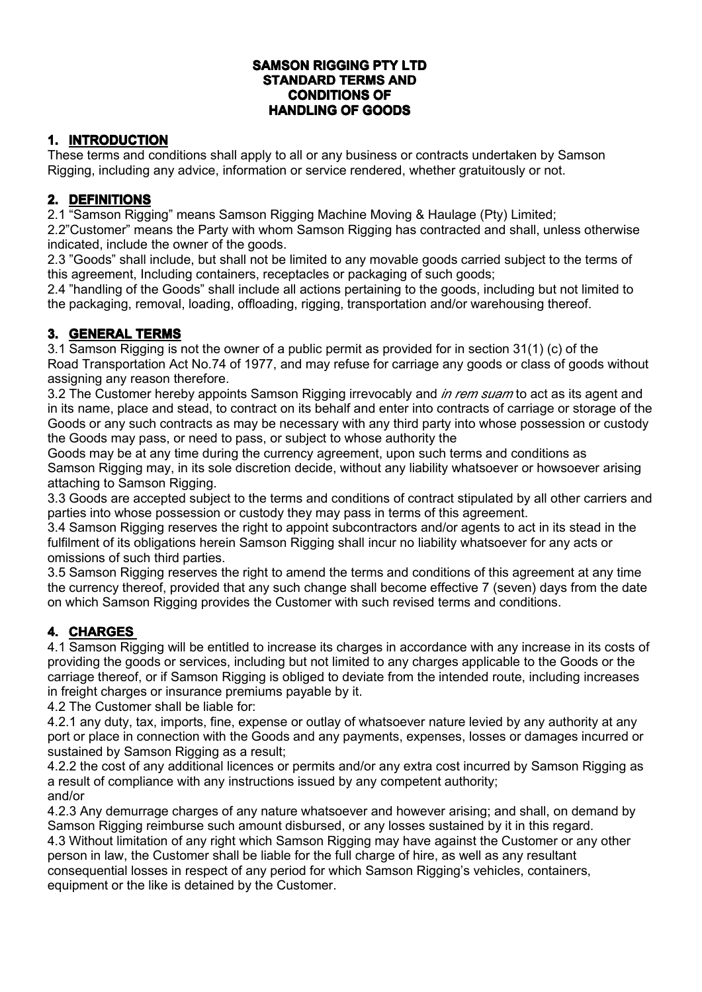#### **SAMSON RIGGING PTY LTD STANDARD TERMS AND CONDITIONS OF HANDLING HANDLING HANDLINGOF GOODS**

## **1. INTRODUCTION**

These terms and conditions shall apply to all or any business or contracts undertaken by Samson Rigging, including any advice, information or service rendered, whether gratuitously or not.

### **2. DEFINITIONS**

2.1 "Samson Rigging" means Samson Rigging Machine Moving & Haulage (Pty) Limited;

2.2"Customer" means the Party with whom Samson Rigging has contracted and shall, unless otherwise indicated, include the owner of the goods.

2.3 "Goods" shall include, but shall not be limited to any movable goods carried subject to the terms of this agreement, Including containers, receptacles or packaging of such goods;

2.4 "handling of the Goods" shall include all actions pertaining to the goods, including but not limited to the packaging, removal, loading, offloading, rigging, transportation and/or warehousing thereof.

### **3. GENERAL GENERAL TERMS**

3.1 Samson Rigging is not the owner of <sup>a</sup> public permit as provided for in section 31(1) (c) of the Road Transportation Act No.74 of 1977, and may refuse for carriage any goods or class of goods without assigning any reason therefore.

3.2 The Customer hereby appoints Samson Rigging irrevocably and *in rem suam* to act as its agent and in its name, place and stead, to contract on its behalf and enter into contracts of carriage or storage of the Goods or any such contracts as may be necessary with any third party into whose possession or custody the Goods may pass, or need to pass, or subject to whose authority the

Goods may be at any time during the currency agreement, upon such terms and conditions as Samson Rigging may, in its sole discretion decide, without any liability whatsoever or howsoever arising attaching to Samson Rigging.

3.3 Goods are accepted subject to the terms and conditions of contract stipulated by all other carriers and parties into whose possession or custody they may pass in terms of this agreement.

3.4 Samson Rigging reserves the right to appoint subcontractors and/or agents to act in its stead in the fulfilment of its obligations herein Samson Rigging shall incur no liability whatsoever for any acts or omissions of such third parties.

3.5 Samson Rigging reserves the right to amend the terms and conditions of this agreement at any time the currency thereof, provided that any such change shall become effective 7 (seven) days fromthe date on which Samson Rigging provides the Customer with such revised terms and conditions.

# **4. CHARGES CHARGES**

4.1 Samson Rigging will be entitled to increase its charges in accordance with any increase in its costs of providing the goods or services, including but not limited to any charges applicable to the Goods or the carriage thereof, or if Samson Rigging is obliged to deviate from the intended route, including increases in freight charges or insurance premiums payable by it.

4.2 The Customer shall be liable for:

4.2.1 any duty, tax, imports, fine, expense or outlay of whatsoever nature levied by any authority at any port or place in connection with the Goods and any payments, expenses, losses or damages incurred or sustained by Samson Rigging as <sup>a</sup> result;

4.2.2 the cost of any additional licences or permits and/or any extra cost incurred by Samson Rigging as <sup>a</sup> result of compliance with any instructions issued by any competent authority; and/or

4.2.3 Any demurrage charges of any nature whatsoever and however arising; and shall, on demand by Samson Rigging reimburse such amount disbursed, or any losses sustained by it in this regard. 4.3 Without limitation of any right which Samson Rigging may have against the Customer or any other person in law, the Customer shall be liable for the full charge of hire, as well as any resultant consequential losses in respect of any period for which Samson Rigging's vehicles, containers, equipment or the like is detained by the Customer.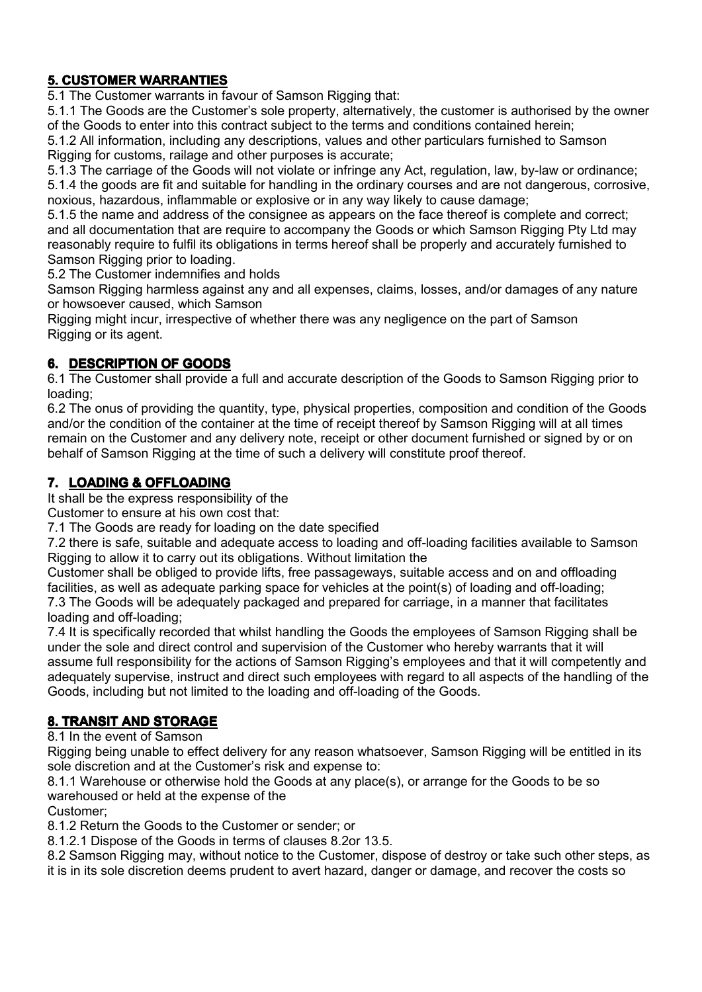## **5. CUSTOMER WARRANTIES**

5.1 The Customer warrants in favour of Samson Rigging that:

5.1.1 The Goods are the Customer's sole property, alternatively, the customer is authorised by the owner of the Goods to enter into this contract subject to the terms and conditions contained herein;

5.1.2 All information, including any descriptions, values and other particulars furnished to Samson Rigging for customs, railage and other purposes is accurate;

5.1.3 The carriage of the Goods will not violate or infringe any Act, regulation, law, by-law or ordinance; 5.1.4 the goods are fit and suitable for handling in the ordinary courses and are not dangerous, corrosive, noxious, hazardous, inflammable or explosive or in any way likely to cause damage;

5.1.5 the name and address of the consignee as appears on the face thereof is complete and correct; and all documentation that are require to accompany the Goods or which Samson Rigging Pty Ltd may reasonably require to fulfil its obligations in terms hereof shall be properly and accurately furnished to Samson Rigging prior to loading.

5.2 The Customer indemnifies and holds

Samson Rigging harmless against any and all expenses, claims, losses, and/or damages of any nature or howsoever caused, which Samson

Rigging might incur, irrespective of whether there was any negligence on the part of Samson Rigging or its agent.

### **6. DESCRIPTION DESCRIPTION OF GOODS**

6.1 The Customer shall provide <sup>a</sup> full and accurate description of the Goods to Samson Rigging prior to loading;

6.2 The onus of providing the quantity, type, physical properties, composition and condition of the Goods and/or the condition of the container at the time of receipt thereof by Samson Rigging will at all times remain on the Customer and any delivery note, receipt or other document furnished or signed by or on behalf of Samson Rigging at the time of such <sup>a</sup> delivery will constitute proof thereof.

### **7. LOADING & OFFLOADING**

It shall be the express responsibility of the

Customer to ensure at his own cost that:

7.1 The Goods are ready for loading on the date specified

7.2 there is safe, suitable and adequate access to loading and off-loading facilities available to Samson Rigging to allow it to carry out its obligations. Without limitation the

Customer shall be obliged to provide lifts, free passageways, suitable access and on and offloading facilities, as well as adequate parking space for vehicles at the point(s) of loading and off-loading; 7.3 The Goods will be adequately packaged and prepared for carriage, in <sup>a</sup> manner that facilitates loading and off-loading;

7.4 It is specifically recorded that whilst handling the Goods the employees of Samson Rigging shall be under the sole and direct control and supervision of the Customer who hereby warrants that it will assume full responsibility for the actions of Samson Rigging's employees and that it will competently and adequately supervise, instruct and direct such employees with regard to all aspects of the handling of the Goods, including but not limited to the loading and off-loading of the Goods.

### **8. TRANSIT AND STORAGE**

8.1 In the event of Samson

Rigging being unable to effect delivery for any reason whatsoever, Samson Rigging will be entitled in its sole discretion and at the Customer's risk and expense to:

8.1.1 Warehouse or otherwise hold the Goods at any place(s), or arrange for the Goods to be so warehoused or held at the expense of the

Customer;

8.1.2 Return the Goods to the Customer or sender; or

8.1.2.1 Dispose of the Goods in terms of clauses 8.2or 13.5.

8.2 Samson Rigging may, without notice to the Customer, dispose of destroy or take such other steps, as

it is in its sole discretion deems prudent to avert hazard, danger or damage, and recover the costs so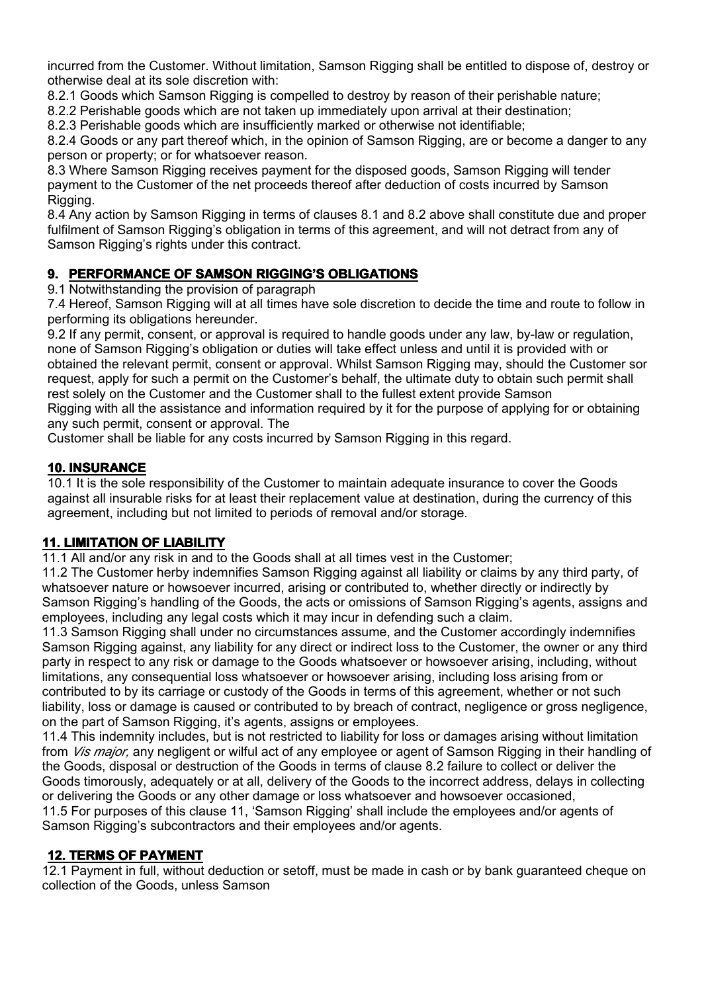incurred from the Customer. Without limitation, Samson Rigging shall be entitled to dispose of, destroy or otherwise deal at its sole discretion with:

8.2.1 Goods which Samson Rigging is compelled to destroy by reason of their perishable nature;

8.2.2 Perishable goods which are not taken up immediately upon arrival at their destination;

8.2.3 Perishable goods which are insufficiently marked or otherwise not identifiable;

8.2.4 Goods or any part thereof which, in the opinion of Samson Rigging, are or become <sup>a</sup> danger to any person or property; or for whatsoever reason.

8.3 Where Samson Rigging receives payment for the disposed goods, Samson Rigging will tender payment to the Customer of the net proceeds thereof after deduction of costs incurred by Samson Rigging.

8.4 Any action by Samson Rigging in terms of clauses 8.1 and 8.2 above shall constitute due and proper fulfilment of Samson Rigging's obligation in terms of this agreement, and will not detract from any of Samson Rigging's rights under this contract.

## **9. PERFORMANCE OF SAMSON RIGGING'S OBLIGATIONS**

9.1 Notwithstanding the provision of paragraph

7.4 Hereof, Samson Rigging will at all times have sole discretion to decide the time and route to follow in performing its obligations hereunder.

9.2 If any permit, consent, or approval is required to handle goods under any law, by-law or regulation, none of Samson Rigging's obligation or duties will take effect unless and until it is provided with or obtained the relevant permit, consent or approval. Whilst Samson Rigging may, should the Customer sor request, apply for such <sup>a</sup> permit on the Customer's behalf, the ultimate duty to obtain such permit shall rest solely on the Customer and the Customer shall to the fullest extent provide Samson Rigging with all the assistance and information required by it for the purpose of applying for or obtaining any such permit, consent or approval. The

Customer shall be liable for any costs incurred by Samson Rigging in this regard.

### **10. INSURANCE**

10.1 It is the sole responsibility of the Customer to maintain adequate insurance to cover the Goods against all insurable risks for at least their replacement value at destination, during the currency of this agreement, including but not limited to periods of removal and/or storage.

## **11. LIMITATION LIMITATION OF LIABILITY LIABILITY LIABILITYLIABILITY**

11.1 All and/or any risk in and to the Goods shall at all times vest in the Customer;

11.2 The Customer herby indemnifies Samson Rigging against all liability or claims by any third party, of whatsoever nature or howsoever incurred, arising or contributed to, whether directly or indirectly by Samson Rigging's handling of the Goods, the acts or omissions of Samson Rigging's agents, assigns and employees, including any legal costswhich it may incur in defending such <sup>a</sup> claim.

11.3 Samson Rigging shall under no circumstances assume, and the Customer accordingly indemnifies Samson Rigging against, any liability for any direct or indirect lossto the Customer, the owner or any third party in respect to any risk or damage to the Goods whatsoever or howsoever arising, including, without limitations, any consequential loss whatsoever or howsoever arising, including loss arising from or contributed to by its carriage or custody of the Goods in terms of this agreement, whether or not such liability, loss or damage is caused or contributed to by breach of contract, negligence or gross negligence, on the part of Samson Rigging, it's agents, assigns or employees.

11.4 This indemnity includes, but is not restricted to liability for loss or damages arising without limitation from *Vis major,* any negligent or wilful act of any employee or agent of Samson Rigging in their handling of the Goods, disposal or destruction of the Goods in terms of clause 8.2 failure to collect or deliver the Goods timorously, adequately or at all, delivery of the Goods to the incorrect address, delays in collecting or delivering the Goods or any other damage or loss whatsoever and howsoever occasioned, 11.5 For purposes of this clause 11, 'Samson Rigging' shall include the employees and/or agents of Samson Rigging's subcontractors and their employees and/or agents.

## **12. TERMS OF PAYMENT PAYMENT**

12.1 Payment in full, without deduction or setoff, must be made in cash or by bank guaranteed cheque on collection of the Goods, unless Samson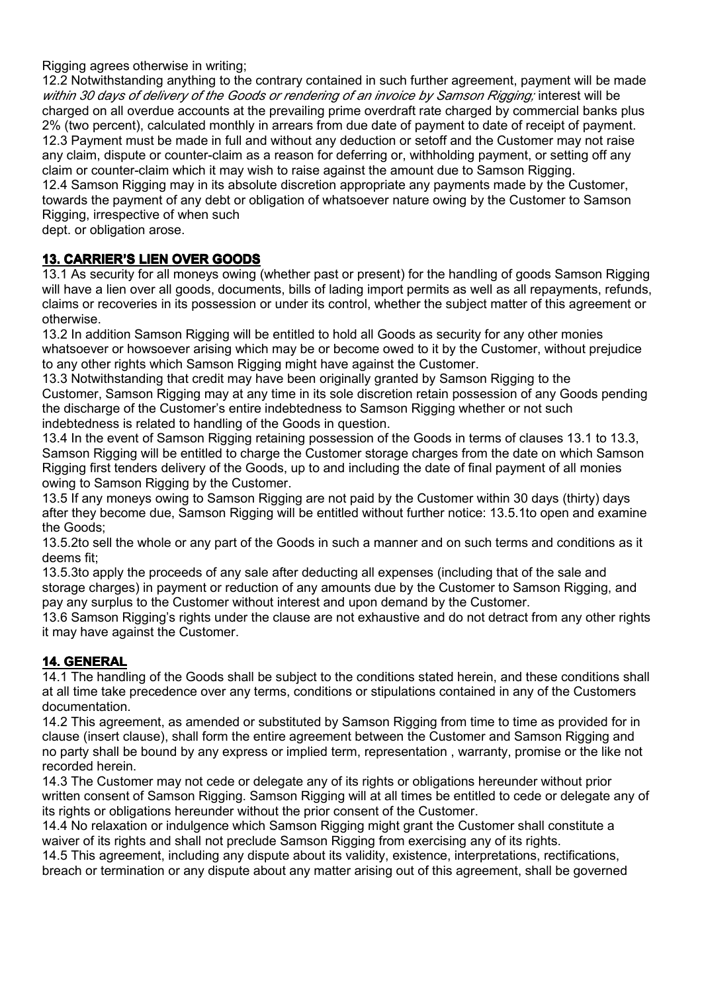Rigging agrees otherwise in writing;

12.2 Notwithstanding anything to the contrary contained in such further agreement, payment will be made *within 30 days of delivery of the Goods or rendering of an invoice by Samson Rigging;* interest will be charged on all overdue accounts at the prevailing prime overdraft rate charged by commercial banks plus 2% (two percent), calculated monthly in arrears from due date of payment to date of receipt of payment. 12.3 Payment must be made in full and without any deduction or setoff and the Customer may not raise any claim, dispute or counter-claim as <sup>a</sup> reason for deferring or, withholding payment, or setting off any claim or counter-claim which it may wish to raise against the amount due to Samson Rigging. 12.4 Samson Rigging may in its absolute discretion appropriate any payments made by the Customer, towards the payment of any debt or obligation of whatsoever nature owing by the Customer to Samson

Rigging, irrespective of when such

dept. or obligation arose.

### **13. CARRIER CARRIER'S LIEN OVER GOODS**

13.1 As security for all moneys owing (whether past or present) for the handling of goods Samson Rigging will have <sup>a</sup> lien over all goods, documents, bills of lading import permits as well as all repayments, refunds, claims or recoveries in its possession or under its control, whether the subject matter of this agreement or otherwise.

13.2 In addition Samson Rigging will be entitled to hold all Goods as security for any other monies whatsoever or howsoever arising which may be or become owed to it by the Customer, without prejudice to any other rights which Samson Rigging might have against the Customer.

13.3 Notwithstanding that credit may have been originally granted by Samson Rigging to the Customer, Samson Rigging may at any time in its sole discretion retain possession of any Goods pending the discharge of the Customer's entire indebtedness to Samson Rigging whether or not such indebtedness is related to handling of the Goods in question.

13.4 In the event of Samson Rigging retaining possession of the Goods in terms of clauses 13.1 to 13.3, Samson Rigging will be entitled to charge the Customer storage charges from the date on which Samson Rigging first tenders delivery of the Goods, up to and including the date of final payment of all monies owing to Samson Rigging by the Customer.

13.5 If any moneys owing to Samson Rigging are not paid by the Customer within 30 days (thirty) days after they become due, Samson Rigging will be entitled without further notice: 13.5.1to open and examine the Goods;

13.5.2to sell the whole or any part of the Goods in such <sup>a</sup> manner and on such terms and conditions as it deems fit;

13.5.3to apply the proceeds of any sale after deducting all expenses (including that of the sale and storage charges) in payment or reduction of any amounts due by the Customer to Samson Rigging, and pay any surplus to the Customer without interest and upon demand by the Customer.

13.6 Samson Rigging's rights under the clause are not exhaustive and do not detract from any other rights it may have against the Customer.

## **14. GENERAL GENERAL GENERALGENERAL**

14.1 The handling of the Goods shall be subject to the conditions stated herein, and these conditions shall at all time take precedence over any terms, conditions or stipulations contained in any of the Customers documentation.

14.2 This agreement, as amended or substituted by Samson Rigging from time to time as provided for in clause (insert clause), shall form the entire agreement between the Customer and Samson Rigging and no party shall be bound by any express or implied term, representation , warranty, promise or the like not recorded herein.

14.3 The Customer may not cede or delegate any of its rights or obligations hereunder without prior written consent of Samson Rigging. Samson Rigging will at all times be entitled to cede or delegate any of its rights or obligations hereunder without the prior consent of the Customer.

14.4 No relaxation or indulgence which Samson Rigging might grant the Customer shall constitute <sup>a</sup> waiver of its rights and shall not preclude Samson Rigging from exercising any of its rights.

14.5 This agreement, including any dispute about its validity, existence, interpretations, rectifications, breach or termination or any dispute about any matter arising out of this agreement, shall be governed